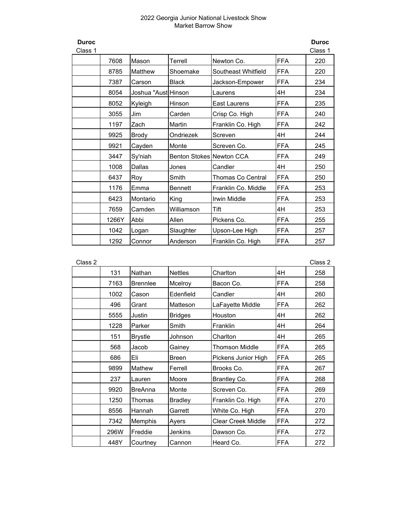| <b>Duroc</b><br>Class 1 |       |                     |                          |                     |            | <b>Duroc</b><br>Class 1 |
|-------------------------|-------|---------------------|--------------------------|---------------------|------------|-------------------------|
|                         | 7608  | Mason               | Terrell                  | Newton Co.          | <b>FFA</b> | 220                     |
|                         | 8785  | Matthew             | Shoemake                 | Southeast Whitfield | <b>FFA</b> | 220                     |
|                         | 7387  | Carson              | <b>Black</b>             | Jackson-Empower     | <b>FFA</b> | 234                     |
|                         | 8054  | Joshua "Aust Hinson |                          | Laurens             | 4H         | 234                     |
|                         | 8052  | Kyleigh             | Hinson                   | East Laurens        | <b>FFA</b> | 235                     |
|                         | 3055  | Jim                 | Carden                   | Crisp Co. High      | <b>FFA</b> | 240                     |
|                         | 1197  | Zach                | Martin                   | Franklin Co. High   | <b>FFA</b> | 242                     |
|                         | 9925  | <b>Brody</b>        | Ondriezek                | Screven             | 4H         | 244                     |
|                         | 9921  | Cayden              | Monte                    | Screven Co.         | <b>FFA</b> | 245                     |
|                         | 3447  | Sy'niah             | Benton Stokes Newton CCA |                     | <b>FFA</b> | 249                     |
|                         | 1008  | Dallas              | Jones                    | Candler             | 4H         | 250                     |
|                         | 6437  | Roy                 | Smith                    | Thomas Co Central   | <b>FFA</b> | 250                     |
|                         | 1176  | Emma                | <b>Bennett</b>           | Franklin Co. Middle | <b>FFA</b> | 253                     |
|                         | 6423  | Montario            | King                     | Irwin Middle        | <b>FFA</b> | 253                     |
|                         | 7659  | Camden              | Williamson               | Tift                | 4H         | 253                     |
|                         | 1266Y | Abbi                | Allen                    | Pickens Co.         | <b>FFA</b> | 255                     |
|                         | 1042  | Logan               | Slaughter                | Upson-Lee High      | <b>FFA</b> | 257                     |
|                         | 1292  | Connor              | Anderson                 | Franklin Co. High   | <b>FFA</b> | 257                     |

| Class 2 |      |                 |                |                           |            | Class 2 |
|---------|------|-----------------|----------------|---------------------------|------------|---------|
|         | 131  | Nathan          | <b>Nettles</b> | Charlton                  | 4H         | 258     |
|         | 7163 | <b>Brennlee</b> | Mcelroy        | Bacon Co.                 | <b>FFA</b> | 258     |
|         | 1002 | Cason           | Edenfield      | Candler                   | 4H         | 260     |
|         | 496  | Grant           | Matteson       | LaFayette Middle          | <b>FFA</b> | 262     |
|         | 5555 | Justin          | <b>Bridges</b> | Houston                   | 4H         | 262     |
|         | 1228 | Parker          | Smith          | Franklin                  | 4H         | 264     |
|         | 151  | <b>Brystle</b>  | Johnson        | Charlton                  | 4H         | 265     |
|         | 568  | Jacob           | Gainey         | <b>Thomson Middle</b>     | <b>FFA</b> | 265     |
|         | 686  | Eli             | Breen          | Pickens Junior High       | <b>FFA</b> | 265     |
|         | 9899 | Mathew          | Ferrell        | Brooks Co.                | <b>FFA</b> | 267     |
|         | 237  | Lauren          | Moore          | Brantley Co.              | <b>FFA</b> | 268     |
|         | 9920 | BreAnna         | Monte          | Screven Co.               | <b>FFA</b> | 269     |
|         | 1250 | Thomas          | <b>Bradley</b> | Franklin Co. High         | <b>FFA</b> | 270     |
|         | 8556 | Hannah          | Garrett        | White Co. High            | <b>FFA</b> | 270     |
|         | 7342 | Memphis         | Ayers          | <b>Clear Creek Middle</b> | <b>FFA</b> | 272     |
|         | 296W | Freddie         | Jenkins        | Dawson Co.                | <b>FFA</b> | 272     |
|         | 448Y | Courtney        | Cannon         | Heard Co.                 | <b>FFA</b> | 272     |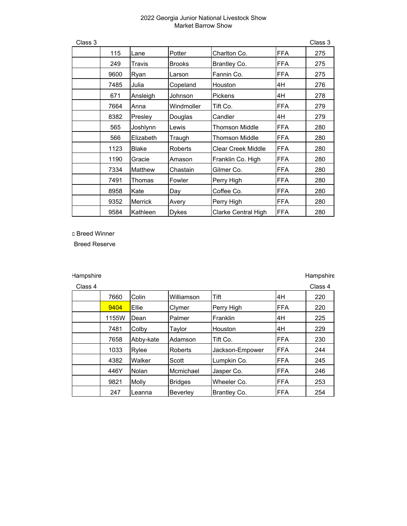| Class 3 |      |                |               |                           |            | Class 3 |
|---------|------|----------------|---------------|---------------------------|------------|---------|
|         | 115  | Lane           | Potter        | Charlton Co.              | <b>FFA</b> | 275     |
|         | 249  | Travis         | <b>Brooks</b> | Brantley Co.              | <b>FFA</b> | 275     |
|         | 9600 | Ryan           | Larson        | Fannin Co.                | <b>FFA</b> | 275     |
|         | 7485 | Julia          | Copeland      | Houston                   | 4H         | 276     |
|         | 671  | Ansleigh       | Johnson       | <b>Pickens</b>            | 4H         | 278     |
|         | 7664 | Anna           | Windmoller    | Tift Co.                  | <b>FFA</b> | 279     |
|         | 8382 | Presley        | Douglas       | Candler                   | 4H         | 279     |
|         | 565  | Joshlynn       | Lewis         | <b>Thomson Middle</b>     | <b>FFA</b> | 280     |
|         | 566  | Elizabeth      | Traugh        | <b>Thomson Middle</b>     | <b>FFA</b> | 280     |
|         | 1123 | <b>Blake</b>   | Roberts       | <b>Clear Creek Middle</b> | <b>FFA</b> | 280     |
|         | 1190 | Gracie         | Amason        | Franklin Co. High         | <b>FFA</b> | 280     |
|         | 7334 | Matthew        | Chastain      | Gilmer Co.                | <b>FFA</b> | 280     |
|         | 7491 | Thomas         | Fowler        | Perry High                | <b>FFA</b> | 280     |
|         | 8958 | Kate           | Day           | Coffee Co.                | <b>FFA</b> | 280     |
|         | 9352 | <b>Merrick</b> | Avery         | Perry High                | <b>FFA</b> | 280     |
|         | 9584 | Kathleen       | Dykes         | Clarke Central High       | <b>FFA</b> | 280     |

c Breed Winner

Breed Reserve

# Hampshire **Hampshire Hampshire Hampshire Hampshire**

| Class 4 |       |           |                 |                 |      | Class 4 |
|---------|-------|-----------|-----------------|-----------------|------|---------|
|         | 7660  | Colin     | Williamson      | Tift            | 4H   | 220     |
|         | 9404  | Ellie     | Clymer          | Perry High      | IFFA | 220     |
|         | 1155W | Dean      | Palmer          | Franklin        | 4H   | 225     |
|         | 7481  | Colby     | Taylor          | Houston         | l4H  | 229     |
|         | 7658  | Abby-kate | Adamson         | Tift Co.        | FFA  | 230     |
|         | 1033  | Rylee     | Roberts         | Jackson-Empower | FFA  | 244     |
|         | 4382  | Walker    | Scott           | Lumpkin Co.     | FFA  | 245     |
|         | 446Y  | Nolan     | Mcmichael       | Jasper Co.      | FFA  | 246     |
|         | 9821  | Molly     | <b>Bridges</b>  | Wheeler Co.     | IFFA | 253     |
|         | 247   | Leanna    | <b>Beverley</b> | Brantley Co.    | FFA  | 254     |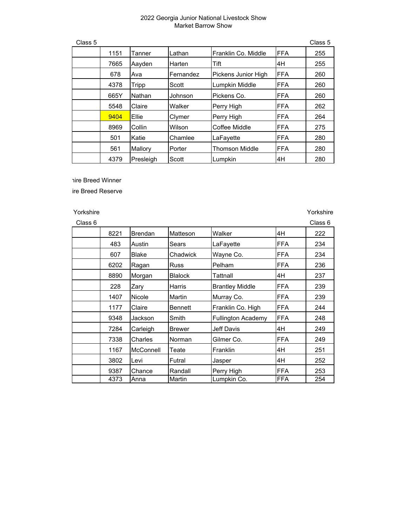| Class 5 |      |           |           |                       |            | Class 5 |
|---------|------|-----------|-----------|-----------------------|------------|---------|
|         | 1151 | Tanner    | Lathan    | Franklin Co. Middle   | <b>FFA</b> | 255     |
|         | 7665 | Aayden    | Harten    | Tift                  | 4H         | 255     |
|         | 678  | Ava       | Fernandez | Pickens Junior High   | <b>FFA</b> | 260     |
|         | 4378 | Tripp     | Scott     | Lumpkin Middle        | <b>FFA</b> | 260     |
|         | 665Y | Nathan    | Johnson   | Pickens Co.           | FFA        | 260     |
|         | 5548 | Claire    | Walker    | Perry High            | FFA        | 262     |
|         | 9404 | Ellie     | Clymer    | Perry High            | FFA        | 264     |
|         | 8969 | Collin    | Wilson    | Coffee Middle         | FFA        | 275     |
|         | 501  | Katie     | Chamlee   | LaFayette             | <b>FFA</b> | 280     |
|         | 561  | Mallory   | Porter    | <b>Thomson Middle</b> | FFA        | 280     |
|         | 4379 | Presleigh | Scott     | Lumpkin               | 4H         | 280     |

hire Breed Winner

ire Breed Reserve

| Class 6 |      |                |                |                           |            | Class 6 |
|---------|------|----------------|----------------|---------------------------|------------|---------|
|         | 8221 | <b>Brendan</b> | Matteson       | Walker                    | 4H         | 222     |
|         | 483  | Austin         | Sears          | LaFayette                 | <b>FFA</b> | 234     |
|         | 607  | <b>Blake</b>   | Chadwick       | Wayne Co.                 | FFA        | 234     |
|         | 6202 | Ragan          | <b>Russ</b>    | Pelham                    | <b>FFA</b> | 236     |
|         | 8890 | Morgan         | <b>Blalock</b> | Tattnall                  | 4H         | 237     |
|         | 228  | Zary           | Harris         | <b>Brantley Middle</b>    | FFA        | 239     |
|         | 1407 | Nicole         | Martin         | Murray Co.                | <b>FFA</b> | 239     |
|         | 1177 | Claire         | <b>Bennett</b> | Franklin Co. High         | FFA        | 244     |
|         | 9348 | Jackson        | Smith          | <b>Fullington Academy</b> | FFA        | 248     |
|         | 7284 | Carleigh       | <b>Brewer</b>  | Jeff Davis                | 4H         | 249     |
|         | 7338 | Charles        | Norman         | Gilmer Co.                | FFA        | 249     |
|         | 1167 | McConnell      | Teate          | <b>Franklin</b>           | 4H         | 251     |
|         | 3802 | Levi           | Futral         | Jasper                    | 4H         | 252     |
|         | 9387 | Chance         | Randall        | Perry High                | <b>FFA</b> | 253     |
|         | 4373 | Anna           | Martin         | Lumpkin Co.               | FFA        | 254     |

Yorkshire Xorkshire Yorkshire Yorkshire International Accounts of the Vortex Accounts of the Vortex Accounts of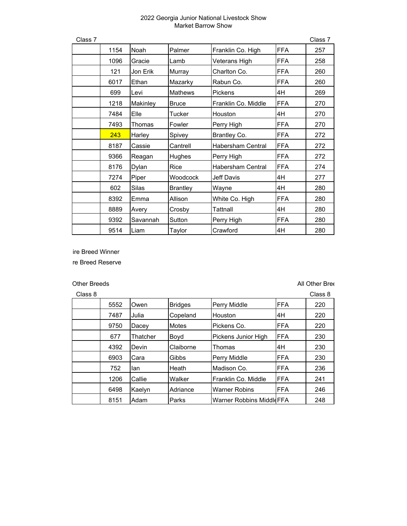| Class 7 |      |          |                 |                          |            | Class 7 |
|---------|------|----------|-----------------|--------------------------|------------|---------|
|         | 1154 | Noah     | Palmer          | Franklin Co. High        | <b>FFA</b> | 257     |
|         | 1096 | Gracie   | Lamb            | Veterans High            | <b>FFA</b> | 258     |
|         | 121  | Jon Erik | Murray          | Charlton Co.             | <b>FFA</b> | 260     |
|         | 6017 | Ethan    | Mazarky         | Rabun Co.                | <b>FFA</b> | 260     |
|         | 699  | ILevi    | <b>Mathews</b>  | <b>Pickens</b>           | 4H         | 269     |
|         | 1218 | Makinley | <b>Bruce</b>    | Franklin Co. Middle      | <b>FFA</b> | 270     |
|         | 7484 | Elle     | Tucker          | Houston                  | 4H         | 270     |
|         | 7493 | Thomas   | Fowler          | Perry High               | <b>FFA</b> | 270     |
|         | 243  | Harley   | Spivey          | Brantley Co.             | <b>FFA</b> | 272     |
|         | 8187 | Cassie   | Cantrell        | <b>Habersham Central</b> | <b>FFA</b> | 272     |
|         | 9366 | Reagan   | Hughes          | Perry High               | <b>FFA</b> | 272     |
|         | 8176 | Dylan    | Rice            | <b>Habersham Central</b> | <b>FFA</b> | 274     |
|         | 7274 | Piper    | Woodcock        | <b>Jeff Davis</b>        | 4H         | 277     |
|         | 602  | Silas    | <b>Brantley</b> | Wayne                    | 4H         | 280     |
|         | 8392 | Emma     | Allison         | White Co. High           | <b>FFA</b> | 280     |
|         | 8889 | Avery    | Crosby          | Tattnall                 | 4H         | 280     |
|         | 9392 | Savannah | Sutton          | Perry High               | <b>FFA</b> | 280     |
|         | 9514 | Liam     | Taylor          | Crawford                 | 4H         | 280     |

ire Breed Winner

re Breed Reserve

## Other Breeds All Other Breeds All Other Breeds

| Class 8 |      |          |                |                                 |            | Class 8 |
|---------|------|----------|----------------|---------------------------------|------------|---------|
|         | 5552 | Owen     | <b>Bridges</b> | <b>Perry Middle</b>             | <b>FFA</b> | 220     |
|         | 7487 | Julia    | Copeland       | <b>Houston</b>                  | 4H         | 220     |
|         | 9750 | Dacey    | <b>Motes</b>   | Pickens Co.                     | <b>FFA</b> | 220     |
|         | 677  | Thatcher | Boyd           | Pickens Junior High             | FFA        | 230     |
|         | 4392 | Devin    | Claiborne      | Thomas                          | 4Η         | 230     |
|         | 6903 | Cara     | Gibbs          | <b>Perry Middle</b>             | <b>FFA</b> | 230     |
|         | 752  | lan      | Heath          | Madison Co.                     | <b>FFA</b> | 236     |
|         | 1206 | Callie   | Walker         | lFranklin Co. Middle            | <b>FFA</b> | 241     |
|         | 6498 | Kaelyn   | Adriance       | <b>Warner Robins</b>            | <b>FFA</b> | 246     |
|         | 8151 | Adam     | Parks          | <b>Warner Robbins MiddleFFA</b> |            | 248     |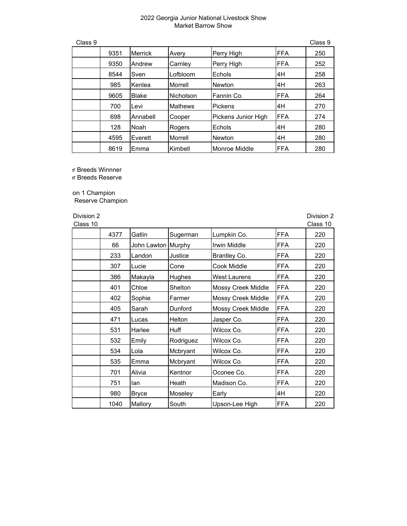| Class 9 |      |                |                |                     |            | Class 9 |
|---------|------|----------------|----------------|---------------------|------------|---------|
|         | 9351 | <b>Merrick</b> | Avery          | Perry High          | <b>FFA</b> | 250     |
|         | 9350 | Andrew         | Carnley        | Perry High          | <b>FFA</b> | 252     |
|         | 8544 | Sven           | Lofbloom       | Echols              | 4H         | 258     |
|         | 985  | Kenlea         | Morrell        | <b>Newton</b>       | 4H         | 263     |
|         | 9605 | <b>Blake</b>   | Nicholson      | Fannin Co.          | <b>FFA</b> | 264     |
|         | 700  | Levi           | <b>Mathews</b> | <b>Pickens</b>      | 4H         | 270     |
|         | 698  | Annabell       | Cooper         | Pickens Junior High | <b>FFA</b> | 274     |
|         | 128  | Noah           | Rogers         | Echols              | 4H         | 280     |
|         | 4595 | Everett        | Morrell        | <b>Newton</b>       | 4H         | 280     |
|         | 8619 | Emma           | Kimbell        | Monroe Middle       | <b>FFA</b> | 280     |

er Breeds Winnner

er Breeds Reserve

ion 1 Champion Reserve Champion

| Division 2<br>Class 10 |      |                    |           |                     |            | Division 2<br>Class 10 |
|------------------------|------|--------------------|-----------|---------------------|------------|------------------------|
|                        | 4377 | Gatlin             | Sugerman  | Lumpkin Co.         | <b>FFA</b> | 220                    |
|                        | 66   | John Lawton Murphy |           | Irwin Middle        | <b>FFA</b> | 220                    |
|                        | 233  | Landon             | Justice   | Brantley Co.        | <b>FFA</b> | 220                    |
|                        | 307  | Lucie              | Cone      | Cook Middle         | <b>FFA</b> | 220                    |
|                        | 386  | Makayla            | Hughes    | <b>West Laurens</b> | <b>FFA</b> | 220                    |
|                        | 401  | Chloe              | Shelton   | Mossy Creek Middle  | FFA        | 220                    |
|                        | 402  | Sophie             | Farmer    | Mossy Creek Middle  | <b>FFA</b> | 220                    |
|                        | 405  | Sarah              | Dunford   | Mossy Creek Middle  | <b>FFA</b> | 220                    |
|                        | 471  | Lucas              | Helton    | Jasper Co.          | <b>FFA</b> | 220                    |
|                        | 531  | Harlee             | Huff      | Wilcox Co.          | FFA        | 220                    |
|                        | 532  | Emily              | Rodriguez | Wilcox Co.          | FFA        | 220                    |
|                        | 534  | Lola               | Mcbryant  | Wilcox Co.          | <b>FFA</b> | 220                    |
|                        | 535  | Emma               | Mcbryant  | Wilcox Co.          | <b>FFA</b> | 220                    |
|                        | 701  | Alivia             | Kentnor   | Oconee Co.          | <b>FFA</b> | 220                    |
|                        | 751  | lan                | Heath     | Madison Co.         | FFA        | 220                    |
|                        | 980  | Bryce              | Moseley   | Early               | 4H         | 220                    |
|                        | 1040 | Mallory            | South     | Upson-Lee High      | <b>FFA</b> | 220                    |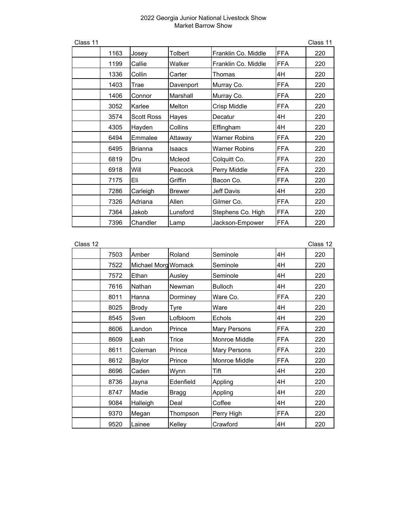| Class 11 |      |                   |               |                      |            | Class 11 |
|----------|------|-------------------|---------------|----------------------|------------|----------|
|          | 1163 | Josey             | Tolbert       | Franklin Co. Middle  | <b>FFA</b> | 220      |
|          | 1199 | Callie            | Walker        | Franklin Co. Middle  | FFA        | 220      |
|          | 1336 | Collin            | Carter        | Thomas               | 4H         | 220      |
|          | 1403 | Trae              | Davenport     | Murray Co.           | <b>FFA</b> | 220      |
|          | 1406 | Connor            | Marshall      | Murray Co.           | <b>FFA</b> | 220      |
|          | 3052 | Karlee            | Melton        | Crisp Middle         | <b>FFA</b> | 220      |
|          | 3574 | <b>Scott Ross</b> | Hayes         | Decatur              | 4H         | 220      |
|          | 4305 | Hayden            | Collins       | Effingham            | 4H         | 220      |
|          | 6494 | Emmalee           | Attaway       | <b>Warner Robins</b> | <b>FFA</b> | 220      |
|          | 6495 | <b>Brianna</b>    | Isaacs        | <b>Warner Robins</b> | <b>FFA</b> | 220      |
|          | 6819 | Dru               | Mcleod        | Colquitt Co.         | <b>FFA</b> | 220      |
|          | 6918 | Will              | Peacock       | Perry Middle         | FFA        | 220      |
|          | 7175 | Eli               | Griffin       | Bacon Co.            | <b>FFA</b> | 220      |
|          | 7286 | Carleigh          | <b>Brewer</b> | Jeff Davis           | 4H         | 220      |
|          | 7326 | Adriana           | Allen         | Gilmer Co.           | <b>FFA</b> | 220      |
|          | 7364 | Jakob             | Lunsford      | Stephens Co. High    | <b>FFA</b> | 220      |
|          | 7396 | Chandler          | Lamp          | Jackson-Empower      | FFA        | 220      |

| Class 12 |      |                     |           |                     |            | Class 12 |
|----------|------|---------------------|-----------|---------------------|------------|----------|
|          | 7503 | Amber               | Roland    | Seminole            | 4H         | 220      |
|          | 7522 | Michael Morg Womack |           | Seminole            | 4H         | 220      |
|          | 7572 | Ethan               | Ausley    | Seminole            | 4H         | 220      |
|          | 7616 | Nathan              | Newman    | <b>Bulloch</b>      | 4H         | 220      |
|          | 8011 | Hanna               | Dorminey  | Ware Co.            | <b>FFA</b> | 220      |
|          | 8025 | <b>Brody</b>        | Tyre      | Ware                | 4H         | 220      |
|          | 8545 | Sven                | Lofbloom  | Echols              | 4H         | 220      |
|          | 8606 | Landon              | Prince    | <b>Mary Persons</b> | <b>FFA</b> | 220      |
|          | 8609 | Leah                | Trice     | Monroe Middle       | <b>FFA</b> | 220      |
|          | 8611 | Coleman             | Prince    | <b>Mary Persons</b> | <b>FFA</b> | 220      |
|          | 8612 | Baylor              | Prince    | Monroe Middle       | <b>FFA</b> | 220      |
|          | 8696 | Caden               | Wynn      | Tift                | 4H         | 220      |
|          | 8736 | Jayna               | Edenfield | Appling             | 4H         | 220      |
|          | 8747 | Madie               | Bragg     | Appling             | 4H         | 220      |
|          | 9084 | Halleigh            | Deal      | Coffee              | 4H         | 220      |
|          | 9370 | Megan               | Thompson  | Perry High          | <b>FFA</b> | 220      |
|          | 9520 | Lainee              | Kelley    | Crawford            | 4H         | 220      |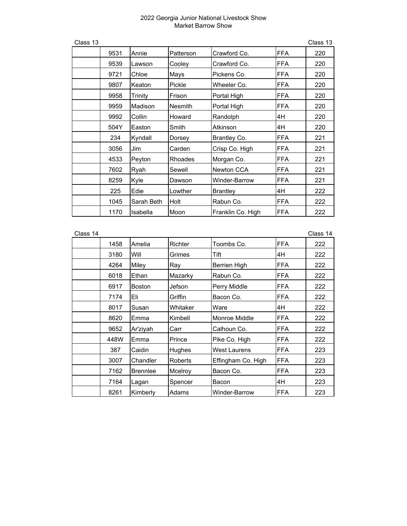| Class 13 |      |                |                |                   |            | Class 13 |
|----------|------|----------------|----------------|-------------------|------------|----------|
|          | 9531 | Annie          | Patterson      | Crawford Co.      | <b>FFA</b> | 220      |
|          | 9539 | Lawson         | Cooley         | Crawford Co.      | <b>FFA</b> | 220      |
|          | 9721 | Chloe          | Mays           | Pickens Co.       | <b>FFA</b> | 220      |
|          | 9807 | Keaton         | Pickle         | Wheeler Co.       | <b>FFA</b> | 220      |
|          | 9958 | <b>Trinity</b> | Frison         | Portal High       | <b>FFA</b> | 220      |
|          | 9959 | Madison        | <b>Nesmith</b> | Portal High       | <b>FFA</b> | 220      |
|          | 9992 | Collin         | Howard         | Randolph          | 4H         | 220      |
|          | 504Y | Easton         | Smith          | Atkinson          | 4H         | 220      |
|          | 234  | Kyndall        | Dorsey         | Brantley Co.      | <b>FFA</b> | 221      |
|          | 3056 | Jim            | Carden         | Crisp Co. High    | <b>FFA</b> | 221      |
|          | 4533 | Peyton         | <b>Rhoades</b> | Morgan Co.        | <b>FFA</b> | 221      |
|          | 7602 | Ryah           | Sewell         | Newton CCA        | <b>FFA</b> | 221      |
|          | 8259 | Kyle           | Dawson         | Winder-Barrow     | <b>FFA</b> | 221      |
|          | 225  | Edie           | Lowther        | <b>Brantley</b>   | 4H         | 222      |
|          | 1045 | Sarah Beth     | Holt           | Rabun Co.         | <b>FFA</b> | 222      |
|          | 1170 | Isabella       | Moon           | Franklin Co. High | <b>FFA</b> | 222      |

| Class 14 |      |                 |                |                     |            | Class 14 |
|----------|------|-----------------|----------------|---------------------|------------|----------|
|          | 1458 | Amelia          | Richter        | Toombs Co.          | <b>FFA</b> | 222      |
|          | 3180 | Will            | Grimes         | Tift                | 4H         | 222      |
|          | 4264 | Miley           | Ray            | <b>Berrien High</b> | <b>FFA</b> | 222      |
|          | 6018 | Ethan           | Mazarky        | Rabun Co.           | <b>FFA</b> | 222      |
|          | 6917 | <b>Boston</b>   | Jefson         | Perry Middle        | <b>FFA</b> | 222      |
|          | 7174 | Eli             | Griffin        | Bacon Co.           | <b>FFA</b> | 222      |
|          | 8017 | Susan           | Whitaker       | Ware                | 4H         | 222      |
|          | 8620 | Emma            | Kimbell        | Monroe Middle       | <b>FFA</b> | 222      |
|          | 9652 | Ar'ziyah        | Carr           | Calhoun Co.         | <b>FFA</b> | 222      |
|          | 448W | Emma            | Prince         | Pike Co. High       | <b>FFA</b> | 222      |
|          | 387  | Caidin          | Hughes         | <b>West Laurens</b> | <b>FFA</b> | 223      |
|          | 3007 | Chandler        | <b>Roberts</b> | Effingham Co. High  | <b>FFA</b> | 223      |
|          | 7162 | <b>Brennlee</b> | Mcelroy        | Bacon Co.           | <b>FFA</b> | 223      |
|          | 7164 | Lagan           | Spencer        | Bacon               | 4H         | 223      |
|          | 8261 | Kimberly        | Adams          | Winder-Barrow       | <b>FFA</b> | 223      |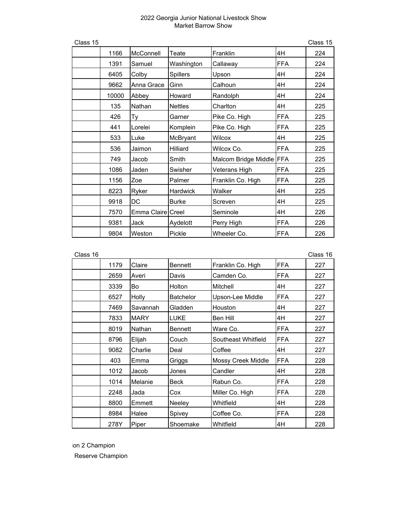| Class 15 |       |                   |                 |                          |            | Class 15 |
|----------|-------|-------------------|-----------------|--------------------------|------------|----------|
|          | 1166  | McConnell         | Teate           | Franklin                 | 4H         | 224      |
|          | 1391  | Samuel            | Washington      | Callaway                 | <b>FFA</b> | 224      |
|          | 6405  | Colby             | <b>Spillers</b> | Upson                    | 4H         | 224      |
|          | 9662  | Anna Grace        | Ginn            | Calhoun                  | 4H         | 224      |
|          | 10000 | Abbey             | Howard          | Randolph                 | 4H         | 224      |
|          | 135   | Nathan            | <b>Nettles</b>  | Charlton                 | 4H         | 225      |
|          | 426   | Тy                | Garner          | Pike Co. High            | <b>FFA</b> | 225      |
|          | 441   | Lorelei           | Komplein        | Pike Co. High            | <b>FFA</b> | 225      |
|          | 533   | Luke              | McBryant        | Wilcox                   | 4H         | 225      |
|          | 536   | Jaimon            | Hilliard        | Wilcox Co.               | FFA        | 225      |
|          | 749   | Jacob             | Smith           | Malcom Bridge Middle FFA |            | 225      |
|          | 1086  | Jaden             | Swisher         | Veterans High            | <b>FFA</b> | 225      |
|          | 1156  | Zoe               | Palmer          | Franklin Co. High        | <b>FFA</b> | 225      |
|          | 8223  | Ryker             | Hardwick        | Walker                   | 4H         | 225      |
|          | 9918  | DC                | <b>Burke</b>    | Screven                  | 4H         | 225      |
|          | 7570  | Emma Claire Creel |                 | Seminole                 | 4H         | 226      |
|          | 9381  | Jack              | Aydelott        | Perry High               | <b>FFA</b> | 226      |
|          | 9804  | Weston            | Pickle          | Wheeler Co.              | <b>FFA</b> | 226      |

| Class 16 |      |             |                  |                     |             | Class 16 |
|----------|------|-------------|------------------|---------------------|-------------|----------|
|          | 1179 | Claire      | <b>Bennett</b>   | Franklin Co. High   | <b>IFFA</b> | 227      |
|          | 2659 | Averi       | Davis            | Camden Co.          | <b>FFA</b>  | 227      |
|          | 3339 | Bo          | Holton           | Mitchell            | 4H          | 227      |
|          | 6527 | Holly       | <b>Batchelor</b> | Upson-Lee Middle    | <b>FFA</b>  | 227      |
|          | 7469 | Savannah    | Gladden          | Houston             | 4H          | 227      |
|          | 7833 | <b>MARY</b> | <b>LUKE</b>      | Ben Hill            | 4H          | 227      |
|          | 8019 | Nathan      | <b>Bennett</b>   | Ware Co.            | <b>IFFA</b> | 227      |
|          | 8796 | Elijah      | Couch            | Southeast Whitfield | <b>FFA</b>  | 227      |
|          | 9082 | Charlie     | Deal             | Coffee              | 4H          | 227      |
|          | 403  | Emma        | Griggs           | Mossy Creek Middle  | <b>FFA</b>  | 228      |
|          | 1012 | Jacob       | Jones            | Candler             | 4H          | 228      |
|          | 1014 | Melanie     | <b>Beck</b>      | Rabun Co.           | <b>FFA</b>  | 228      |
|          | 2248 | Jada        | Cox              | Miller Co. High     | FFA         | 228      |
|          | 8800 | Emmett      | Neeley           | Whitfield           | 4H          | 228      |
|          | 8984 | Halee       | Spivey           | Coffee Co.          | <b>IFFA</b> | 228      |
|          | 278Y | Piper       | Shoemake         | Whitfield           | 4H          | 228      |

ion 2 Champion

Reserve Champion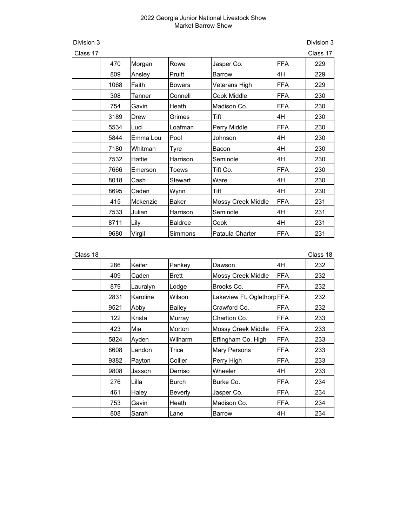Division 3 Division 3

| Class 17 |      |          |                |                           |            | Class 17 |
|----------|------|----------|----------------|---------------------------|------------|----------|
|          | 470  | Morgan   | Rowe           | Jasper Co.                | <b>FFA</b> | 229      |
|          | 809  | Ansley   | Pruitt         | <b>Barrow</b>             | 4H         | 229      |
|          | 1068 | Faith    | <b>Bowers</b>  | Veterans High             | <b>FFA</b> | 229      |
|          | 308  | Tanner   | Connell        | Cook Middle               | <b>FFA</b> | 230      |
|          | 754  | Gavin    | Heath          | Madison Co.               | <b>FFA</b> | 230      |
|          | 3189 | Drew     | Grimes         | Tift                      | 4H         | 230      |
|          | 5534 | Luci     | Loafman        | Perry Middle              | FFA        | 230      |
|          | 5844 | Emma Lou | Pool           | Johnson                   | 4H         | 230      |
|          | 7180 | Whitman  | Tyre           | Bacon                     | 4H         | 230      |
|          | 7532 | Hattie   | Harrison       | Seminole                  | 4H         | 230      |
|          | 7666 | Emerson  | Toews          | Tift Co.                  | <b>FFA</b> | 230      |
|          | 8018 | Cash     | Stewart        | Ware                      | 4H         | 230      |
|          | 8695 | Caden    | Wynn           | Tift                      | 4H         | 230      |
|          | 415  | Mckenzie | <b>Baker</b>   | <b>Mossy Creek Middle</b> | <b>FFA</b> | 231      |
|          | 7533 | Julian   | Harrison       | Seminole                  | 4H         | 231      |
|          | 8711 | Lily     | <b>Baldree</b> | Cook                      | 4H         | 231      |
|          | 9680 | Virgil   | Simmons        | Pataula Charter           | <b>FFA</b> | 231      |

| Class 18 |      |          |                |                            |            | Class 18 |
|----------|------|----------|----------------|----------------------------|------------|----------|
|          | 286  | Keifer   | Pankey         | Dawson                     | 4H         | 232      |
|          | 409  | Caden    | <b>Brett</b>   | <b>Mossy Creek Middle</b>  | <b>FFA</b> | 232      |
|          | 879  | Lauralyn | Lodge          | Brooks Co.                 | FFA        | 232      |
|          | 2831 | Karoline | Wilson         | Lakeview Ft. Oglethorg FFA |            | 232      |
|          | 9521 | Abby     | Bailey         | Crawford Co.               | <b>FFA</b> | 232      |
|          | 122  | Krista   | Murray         | Charlton Co.               | FFA        | 233      |
|          | 423  | Mia      | Morton         | <b>Mossy Creek Middle</b>  | <b>FFA</b> | 233      |
|          | 5824 | Ayden    | Wilharm        | Effingham Co. High         | FFA        | 233      |
|          | 8608 | Landon   | Trice          | <b>Mary Persons</b>        | FFA        | 233      |
|          | 9382 | Payton   | Collier        | Perry High                 | FFA        | 233      |
|          | 9808 | Jaxson   | Derriso        | Wheeler                    | 4H         | 233      |
|          | 276  | Lilla    | Burch          | Burke Co.                  | <b>FFA</b> | 234      |
|          | 461  | Haley    | <b>Beverly</b> | Jasper Co.                 | <b>FFA</b> | 234      |
|          | 753  | Gavin    | Heath          | Madison Co.                | <b>FFA</b> | 234      |
|          | 808  | Sarah    | Lane           | Barrow                     | 4H         | 234      |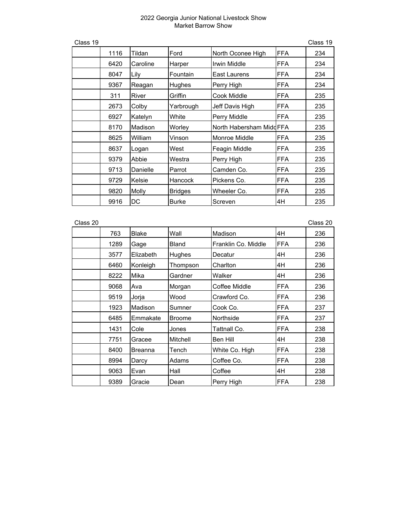| Class 19 |      |          |                |                          |             | Class 19 |
|----------|------|----------|----------------|--------------------------|-------------|----------|
|          | 1116 | Tildan   | Ford           | North Oconee High        | <b>FFA</b>  | 234      |
|          | 6420 | Caroline | Harper         | Irwin Middle             | <b>FFA</b>  | 234      |
|          | 8047 | Lily     | Fountain       | East Laurens             | <b>FFA</b>  | 234      |
|          | 9367 | Reagan   | Hughes         | Perry High               | FFA         | 234      |
|          | 311  | River    | Griffin        | Cook Middle              | <b>IFFA</b> | 235      |
|          | 2673 | Colby    | Yarbrough      | Jeff Davis High          | <b>FFA</b>  | 235      |
|          | 6927 | Katelyn  | White          | Perry Middle             | <b>FFA</b>  | 235      |
|          | 8170 | Madison  | Worley         | North Habersham Midd FFA |             | 235      |
|          | 8625 | William  | Vinson         | Monroe Middle            | <b>FFA</b>  | 235      |
|          | 8637 | Logan    | West           | Feagin Middle            | <b>FFA</b>  | 235      |
|          | 9379 | Abbie    | Westra         | Perry High               | FFA         | 235      |
|          | 9713 | Danielle | Parrot         | Camden Co.               | <b>IFFA</b> | 235      |
|          | 9729 | Kelsie   | Hancock        | Pickens Co.              | <b>FFA</b>  | 235      |
|          | 9820 | Molly    | <b>Bridges</b> | Wheeler Co.              | <b>FFA</b>  | 235      |
|          | 9916 | DC       | <b>Burke</b>   | Screven                  | 4H          | 235      |

| Class 20 |      |                |               |                     |            | Class 20 |
|----------|------|----------------|---------------|---------------------|------------|----------|
|          | 763  | <b>Blake</b>   | Wall          | Madison             | 4H         | 236      |
|          | 1289 | Gage           | <b>Bland</b>  | Franklin Co. Middle | <b>FFA</b> | 236      |
|          | 3577 | Elizabeth      | Hughes        | Decatur             | 4H         | 236      |
|          | 6460 | Konleigh       | Thompson      | Charlton            | 4H         | 236      |
|          | 8222 | Mika           | Gardner       | Walker              | 4H         | 236      |
|          | 9068 | Ava            | Morgan        | Coffee Middle       | FFA        | 236      |
|          | 9519 | Jorja          | Wood          | Crawford Co.        | <b>FFA</b> | 236      |
|          | 1923 | Madison        | Sumner        | Cook Co.            | <b>FFA</b> | 237      |
|          | 6485 | Emmakate       | <b>Broome</b> | Northside           | <b>FFA</b> | 237      |
|          | 1431 | Cole           | Jones         | Tattnall Co.        | <b>FFA</b> | 238      |
|          | 7751 | Gracee         | Mitchell      | Ben Hill            | 4H         | 238      |
|          | 8400 | <b>Breanna</b> | Tench         | White Co. High      | <b>FFA</b> | 238      |
|          | 8994 | Darcy          | Adams         | Coffee Co.          | <b>FFA</b> | 238      |
|          | 9063 | Evan           | Hall          | Coffee              | 4H         | 238      |
|          | 9389 | Gracie         | Dean          | Perry High          | <b>FFA</b> | 238      |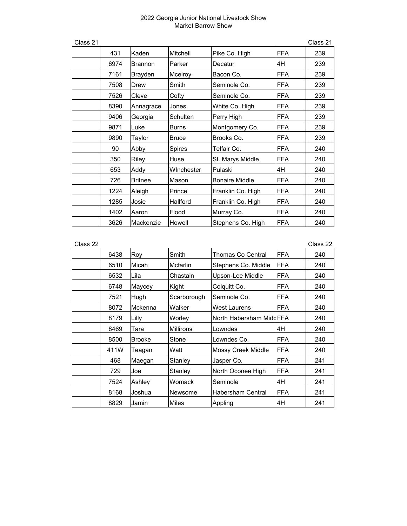| Class 21 |      |                |               |                       |            | Class 21 |
|----------|------|----------------|---------------|-----------------------|------------|----------|
|          | 431  | Kaden          | Mitchell      | Pike Co. High         | <b>FFA</b> | 239      |
|          | 6974 | <b>Brannon</b> | Parker        | Decatur               | 4H         | 239      |
|          | 7161 | Brayden        | Mcelroy       | Bacon Co.             | <b>FFA</b> | 239      |
|          | 7508 | Drew           | Smith         | Seminole Co.          | <b>FFA</b> | 239      |
|          | 7526 | Cleve          | Cofty         | Seminole Co.          | <b>FFA</b> | 239      |
|          | 8390 | Annagrace      | Jones         | White Co. High        | <b>FFA</b> | 239      |
|          | 9406 | Georgia        | Schulten      | Perry High            | <b>FFA</b> | 239      |
|          | 9871 | Luke           | <b>Burns</b>  | Montgomery Co.        | <b>FFA</b> | 239      |
|          | 9890 | Taylor         | <b>Bruce</b>  | Brooks Co.            | <b>FFA</b> | 239      |
|          | 90   | Abby           | <b>Spires</b> | Telfair Co.           | <b>FFA</b> | 240      |
|          | 350  | Riley          | Huse          | St. Marys Middle      | <b>FFA</b> | 240      |
|          | 653  | Addy           | Winchester    | Pulaski               | 4H         | 240      |
|          | 726  | <b>Britnee</b> | Mason         | <b>Bonaire Middle</b> | <b>FFA</b> | 240      |
|          | 1224 | Aleigh         | Prince        | Franklin Co. High     | <b>FFA</b> | 240      |
|          | 1285 | Josie          | Hallford      | Franklin Co. High     | <b>FFA</b> | 240      |
|          | 1402 | Aaron          | Flood         | Murray Co.            | <b>FFA</b> | 240      |
|          | 3626 | Mackenzie      | Howell        | Stephens Co. High     | FFA        | 240      |

| Jass | ╭ |
|------|---|
|------|---|

| Class 22 |      |               |                  |                           |            | Class 22 |
|----------|------|---------------|------------------|---------------------------|------------|----------|
|          | 6438 | Roy           | Smith            | Thomas Co Central         | <b>FFA</b> | 240      |
|          | 6510 | Micah         | Mcfarlin         | Stephens Co. Middle       | <b>FFA</b> | 240      |
|          | 6532 | Lila          | Chastain         | Upson-Lee Middle          | <b>FFA</b> | 240      |
|          | 6748 | Maycey        | Kight            | Colquitt Co.              | <b>FFA</b> | 240      |
|          | 7521 | Hugh          | Scarborough      | Seminole Co.              | <b>FFA</b> | 240      |
|          | 8072 | Mckenna       | Walker           | West Laurens              | <b>FFA</b> | 240      |
|          | 8179 | Lilly         | Worley           | North Habersham Midd FFA  |            | 240      |
|          | 8469 | Tara          | <b>Millirons</b> | Lowndes                   | 4H         | 240      |
|          | 8500 | <b>Brooke</b> | Stone            | Lowndes Co.               | <b>FFA</b> | 240      |
|          | 411W | Teagan        | Watt             | <b>Mossy Creek Middle</b> | <b>FFA</b> | 240      |
|          | 468  | Maegan        | Stanley          | Jasper Co.                | <b>FFA</b> | 241      |
|          | 729  | Joe           | Stanley          | North Oconee High         | <b>FFA</b> | 241      |
|          | 7524 | Ashley        | Womack           | Seminole                  | 4H         | 241      |
|          | 8168 | Joshua        | Newsome          | Habersham Central         | <b>FFA</b> | 241      |
|          | 8829 | Jamin         | Miles            | Appling                   | 4H         | 241      |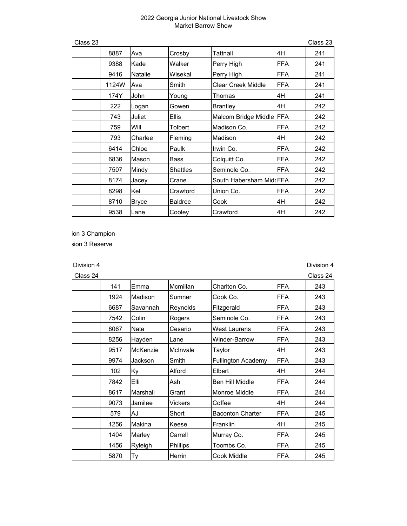| Class 23 |       |                |                 |                           |             | Class 23 |
|----------|-------|----------------|-----------------|---------------------------|-------------|----------|
|          | 8887  | Ava            | Crosby          | Tattnall                  | 4H          | 241      |
|          | 9388  | Kade           | Walker          | Perry High                | <b>FFA</b>  | 241      |
|          | 9416  | <b>Natalie</b> | Wisekal         | Perry High                | <b>FFA</b>  | 241      |
|          | 1124W | Ava            | Smith           | <b>Clear Creek Middle</b> | <b>FFA</b>  | 241      |
|          | 174Y  | John           | Young           | Thomas                    | 4H          | 241      |
|          | 222   | Logan          | Gowen           | <b>Brantley</b>           | 4H          | 242      |
|          | 743   | Juliet         | Ellis           | Malcom Bridge Middle FFA  |             | 242      |
|          | 759   | Will           | Tolbert         | Madison Co.               | <b>FFA</b>  | 242      |
|          | 793   | Charlee        | Fleming         | Madison                   | 4H          | 242      |
|          | 6414  | Chloe          | Paulk           | Irwin Co.                 | FFA         | 242      |
|          | 6836  | Mason          | Bass            | Colquitt Co.              | <b>FFA</b>  | 242      |
|          | 7507  | Mindy          | <b>Shattles</b> | Seminole Co.              | <b>FFA</b>  | 242      |
|          | 8174  | Jacey          | Crane           | South Habersham MiddFFA   |             | 242      |
|          | 8298  | lKel           | Crawford        | Union Co.                 | <b>IFFA</b> | 242      |
|          | 8710  | <b>Bryce</b>   | <b>Baldree</b>  | Cook                      | 4H          | 242      |
|          | 9538  | Lane           | Cooley          | Crawford                  | 4H          | 242      |

ion 3 Champion

sion 3 Reserve

Division 4 Division 4

| Class 24 |      |          |          |                           |            | Class 24 |
|----------|------|----------|----------|---------------------------|------------|----------|
|          | 141  | Emma     | Mcmillan | Charlton Co.              | <b>FFA</b> | 243      |
|          | 1924 | Madison  | Sumner   | Cook Co.                  | <b>FFA</b> | 243      |
|          | 6687 | Savannah | Reynolds | Fitzgerald                | <b>FFA</b> | 243      |
|          | 7542 | Colin    | Rogers   | Seminole Co.              | <b>FFA</b> | 243      |
|          | 8067 | Nate     | Cesario  | <b>West Laurens</b>       | <b>FFA</b> | 243      |
|          | 8256 | Hayden   | Lane     | Winder-Barrow             | <b>FFA</b> | 243      |
|          | 9517 | McKenzie | McInvale | Taylor                    | 4H         | 243      |
|          | 9974 | Jackson  | Smith    | <b>Fullington Academy</b> | <b>FFA</b> | 243      |
|          | 102  | Ky       | Alford   | Elbert                    | 4H         | 244      |
|          | 7842 | Elli     | Ash      | Ben Hill Middle           | <b>FFA</b> | 244      |
|          | 8617 | Marshall | Grant    | Monroe Middle             | <b>FFA</b> | 244      |
|          | 9073 | Jamilee  | Vickers  | Coffee                    | 4H         | 244      |
|          | 579  | AJ       | Short    | <b>Baconton Charter</b>   | <b>FFA</b> | 245      |
|          | 1256 | Makina   | Keese    | Franklin                  | 4H         | 245      |
|          | 1404 | Marley   | Carrell  | Murray Co.                | <b>FFA</b> | 245      |
|          | 1456 | Ryleigh  | Phillips | Toombs Co.                | <b>FFA</b> | 245      |
|          | 5870 | Тy       | Herrin   | Cook Middle               | <b>FFA</b> | 245      |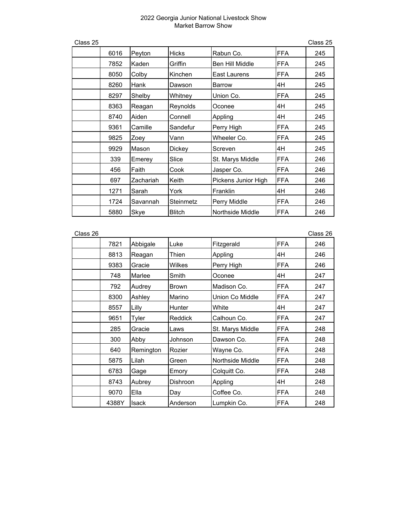| Class 25 |      |           |               |                        |            | Class 25 |
|----------|------|-----------|---------------|------------------------|------------|----------|
|          | 6016 | Peyton    | Hicks         | Rabun Co.              | <b>FFA</b> | 245      |
|          | 7852 | Kaden     | Griffin       | <b>Ben Hill Middle</b> | <b>FFA</b> | 245      |
|          | 8050 | Colby     | Kinchen       | <b>East Laurens</b>    | <b>FFA</b> | 245      |
|          | 8260 | Hank      | Dawson        | <b>Barrow</b>          | 4H         | 245      |
|          | 8297 | Shelby    | Whitney       | Union Co.              | <b>FFA</b> | 245      |
|          | 8363 | Reagan    | Reynolds      | Oconee                 | 4H         | 245      |
|          | 8740 | Aiden     | Connell       | Appling                | 4H         | 245      |
|          | 9361 | Camille   | Sandefur      | Perry High             | <b>FFA</b> | 245      |
|          | 9825 | Zoey      | Vann          | Wheeler Co.            | <b>FFA</b> | 245      |
|          | 9929 | Mason     | Dickey        | Screven                | 4H         | 245      |
|          | 339  | Emerey    | Slice         | St. Marys Middle       | <b>FFA</b> | 246      |
|          | 456  | Faith     | Cook          | Jasper Co.             | <b>FFA</b> | 246      |
|          | 697  | Zachariah | Keith         | Pickens Junior High    | <b>FFA</b> | 246      |
|          | 1271 | Sarah     | York          | Franklin               | 4H         | 246      |
|          | 1724 | Savannah  | Steinmetz     | Perry Middle           | <b>FFA</b> | 246      |
|          | 5880 | Skye      | <b>Blitch</b> | Northside Middle       | <b>FFA</b> | 246      |

| Class 26 |       |              |                 |                  |            | Class 26 |
|----------|-------|--------------|-----------------|------------------|------------|----------|
|          | 7821  | Abbigale     | Luke            | Fitzgerald       | <b>FFA</b> | 246      |
|          | 8813  | Reagan       | Thien           | Appling          | 4H         | 246      |
|          | 9383  | Gracie       | Wilkes          | Perry High       | <b>FFA</b> | 246      |
|          | 748   | Marlee       | Smith           | Oconee           | 4H         | 247      |
|          | 792   | Audrey       | <b>Brown</b>    | Madison Co.      | <b>FFA</b> | 247      |
|          | 8300  | Ashley       | Marino          | Union Co Middle  | <b>FFA</b> | 247      |
|          | 8557  | Lilly        | Hunter          | White            | 4H         | 247      |
|          | 9651  | Tyler        | Reddick         | Calhoun Co.      | <b>FFA</b> | 247      |
|          | 285   | Gracie       | Laws            | St. Marys Middle | <b>FFA</b> | 248      |
|          | 300   | Abby         | Johnson         | Dawson Co.       | <b>FFA</b> | 248      |
|          | 640   | Remington    | Rozier          | Wayne Co.        | <b>FFA</b> | 248      |
|          | 5875  | Lilah        | Green           | Northside Middle | <b>FFA</b> | 248      |
|          | 6783  | Gage         | Emory           | Colquitt Co.     | <b>FFA</b> | 248      |
|          | 8743  | Aubrey       | <b>Dishroon</b> | Appling          | 4H         | 248      |
|          | 9070  | Ella         | Day             | Coffee Co.       | <b>FFA</b> | 248      |
|          | 4388Y | <b>Isack</b> | Anderson        | Lumpkin Co.      | <b>FFA</b> | 248      |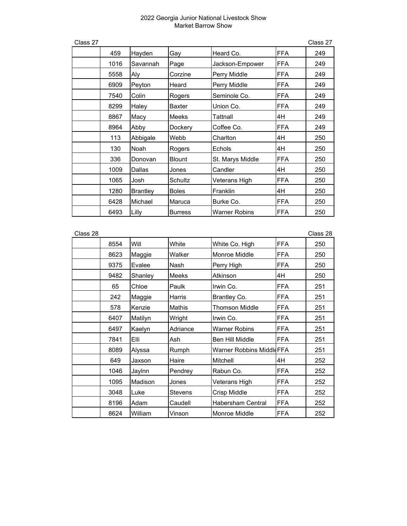|      |                 |                |                      |            | Class 27 |
|------|-----------------|----------------|----------------------|------------|----------|
| 459  | Hayden          | Gay            | Heard Co.            | <b>FFA</b> | 249      |
| 1016 | Savannah        | Page           | Jackson-Empower      | <b>FFA</b> | 249      |
| 5558 | Aly             | Corzine        | Perry Middle         | <b>FFA</b> | 249      |
| 6909 | Peyton          | Heard          | Perry Middle         | <b>FFA</b> | 249      |
| 7540 | Colin           | Rogers         | Seminole Co.         | <b>FFA</b> | 249      |
| 8299 | Haley           | <b>Baxter</b>  | Union Co.            | <b>FFA</b> | 249      |
| 8867 | Macy            | Meeks          | Tattnall             | 4H         | 249      |
| 8964 | Abby            | Dockery        | Coffee Co.           | <b>FFA</b> | 249      |
| 113  | Abbigale        | Webb           | Charlton             | 4H         | 250      |
| 130  | Noah            | Rogers         | Echols               | 4H         | 250      |
| 336  | Donovan         | <b>Blount</b>  | St. Marys Middle     | <b>FFA</b> | 250      |
| 1009 | Dallas          | Jones          | Candler              | 4H         | 250      |
| 1065 | Josh            | Schultz        | Veterans High        | <b>FFA</b> | 250      |
| 1280 | <b>Brantley</b> | <b>Boles</b>   | Franklin             | 4H         | 250      |
| 6428 | Michael         | Maruca         | Burke Co.            | <b>FFA</b> | 250      |
| 6493 | Lilly           | <b>Burress</b> | <b>Warner Robins</b> | <b>FFA</b> | 250      |
|      |                 |                |                      |            |          |

| Class 28 |      |         |                |                          |            | Class 28 |
|----------|------|---------|----------------|--------------------------|------------|----------|
|          | 8554 | Will    | White          | White Co. High           | <b>FFA</b> | 250      |
|          | 8623 | Maggie  | Walker         | Monroe Middle            | <b>FFA</b> | 250      |
|          | 9375 | Evalee  | Nash           | Perry High               | <b>FFA</b> | 250      |
|          | 9482 | Shanley | Meeks          | Atkinson                 | 4H         | 250      |
|          | 65   | Chloe   | Paulk          | Irwin Co.                | <b>FFA</b> | 251      |
|          | 242  | Maggie  | Harris         | Brantley Co.             | <b>FFA</b> | 251      |
|          | 578  | Kenzie  | Mathis         | Thomson Middle           | FFA        | 251      |
|          | 6407 | Matilyn | Wright         | Irwin Co.                | <b>FFA</b> | 251      |
|          | 6497 | Kaelyn  | Adriance       | <b>Warner Robins</b>     | <b>FFA</b> | 251      |
|          | 7841 | Elli    | Ash            | <b>Ben Hill Middle</b>   | <b>FFA</b> | 251      |
|          | 8089 | Alyssa  | Rumph          | Warner Robbins MiddleFFA |            | 251      |
|          | 649  | Jaxson  | Haire          | Mitchell                 | 4H         | 252      |
|          | 1046 | Jaylnn  | Pendrey        | Rabun Co.                | <b>FFA</b> | 252      |
|          | 1095 | Madison | Jones          | Veterans High            | FFA        | 252      |
|          | 3048 | Luke    | <b>Stevens</b> | Crisp Middle             | FFA        | 252      |
|          | 8196 | Adam    | Caudell        | <b>Habersham Central</b> | <b>FFA</b> | 252      |
|          | 8624 | William | Vinson         | Monroe Middle            | <b>FFA</b> | 252      |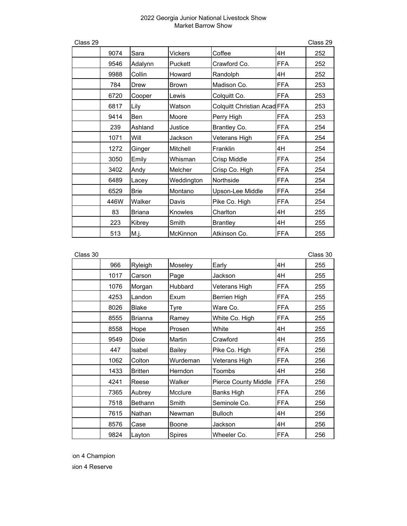| Class 29 |      |               |              |                             |            | Class 29 |
|----------|------|---------------|--------------|-----------------------------|------------|----------|
|          | 9074 | Sara          | Vickers      | Coffee                      | 4H         | 252      |
|          | 9546 | Adalynn       | Puckett      | Crawford Co.                | <b>FFA</b> | 252      |
|          | 9988 | Collin        | Howard       | Randolph                    | 4H         | 252      |
|          | 784  | Drew          | <b>Brown</b> | Madison Co.                 | <b>FFA</b> | 253      |
|          | 6720 | Cooper        | Lewis        | Colquitt Co.                | <b>FFA</b> | 253      |
|          | 6817 | Lily          | Watson       | Colquitt Christian Acad FFA |            | 253      |
|          | 9414 | Ben           | Moore        | Perry High                  | <b>FFA</b> | 253      |
|          | 239  | Ashland       | Justice      | Brantley Co.                | <b>FFA</b> | 254      |
|          | 1071 | Will          | Jackson      | Veterans High               | <b>FFA</b> | 254      |
|          | 1272 | Ginger        | Mitchell     | Franklin                    | 4H         | 254      |
|          | 3050 | Emily         | Whisman      | Crisp Middle                | <b>FFA</b> | 254      |
|          | 3402 | Andy          | Melcher      | Crisp Co. High              | <b>FFA</b> | 254      |
|          | 6489 | Lacey         | Weddington   | Northside                   | <b>FFA</b> | 254      |
|          | 6529 | <b>Brie</b>   | Montano      | Upson-Lee Middle            | <b>FFA</b> | 254      |
|          | 446W | Walker        | Davis        | Pike Co. High               | <b>FFA</b> | 254      |
|          | 83   | <b>Briana</b> | Knowles      | Charlton                    | 4H         | 255      |
|          | 223  | Kibrey        | Smith        | <b>Brantley</b>             | 4H         | 255      |
|          | 513  | M.j.          | McKinnon     | Atkinson Co.                | <b>FFA</b> | 255      |

| Class 30 |      |                |                |                             |            | Class 30 |
|----------|------|----------------|----------------|-----------------------------|------------|----------|
|          | 966  | Ryleigh        | Moseley        | Early                       | 4H         | 255      |
|          | 1017 | Carson         | Page           | Jackson                     | 4H         | 255      |
|          | 1076 | Morgan         | <b>Hubbard</b> | Veterans High               | <b>FFA</b> | 255      |
|          | 4253 | Landon         | Exum           | <b>Berrien High</b>         | <b>FFA</b> | 255      |
|          | 8026 | <b>Blake</b>   | Tyre           | Ware Co.                    | <b>FFA</b> | 255      |
|          | 8555 | Brianna        | Ramey          | White Co. High              | <b>FFA</b> | 255      |
|          | 8558 | Hope           | Prosen         | White                       | 4H         | 255      |
|          | 9549 | <b>Dixie</b>   | Martin         | Crawford                    | 4H         | 255      |
|          | 447  | Isabel         | Bailey         | Pike Co. High               | <b>FFA</b> | 256      |
|          | 1062 | Colton         | Wurdeman       | Veterans High               | <b>FFA</b> | 256      |
|          | 1433 | <b>Britten</b> | Herndon        | <b>Toombs</b>               | 4H         | 256      |
|          | 4241 | Reese          | Walker         | <b>Pierce County Middle</b> | <b>FFA</b> | 256      |
|          | 7365 | Aubrey         | Mcclure        | <b>Banks High</b>           | <b>FFA</b> | 256      |
|          | 7518 | <b>Bethann</b> | Smith          | Seminole Co.                | <b>FFA</b> | 256      |
|          | 7615 | Nathan         | Newman         | <b>Bulloch</b>              | 4H         | 256      |
|          | 8576 | Case           | Boone          | Jackson                     | 4H         | 256      |
|          | 9824 | Layton         | Spires         | Wheeler Co.                 | <b>FFA</b> | 256      |

ion 4 Champion

sion 4 Reserve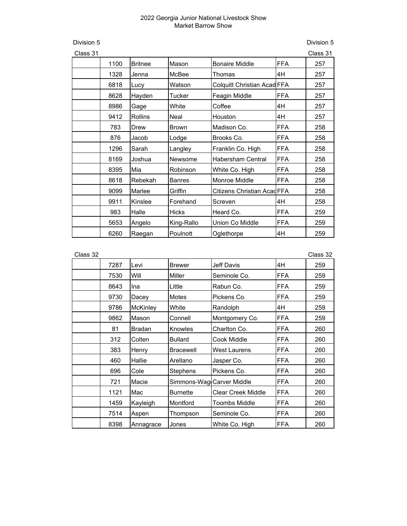Division 5 Division 5

|      |                |               |                          |            | Class 31                                                   |
|------|----------------|---------------|--------------------------|------------|------------------------------------------------------------|
| 1100 | <b>Britnee</b> | Mason         | <b>Bonaire Middle</b>    | FFA        | 257                                                        |
| 1328 | Jenna          | McBee         | Thomas                   | 4H         | 257                                                        |
| 6818 | Lucy           | Watson        |                          |            | 257                                                        |
| 8628 | Hayden         | Tucker        | Feagin Middle            | <b>FFA</b> | 257                                                        |
| 8986 | Gage           | White         | Coffee                   | 4H         | 257                                                        |
| 9412 | <b>Rollins</b> | Neal          | Houston                  | 4H         | 257                                                        |
| 783  | Drew           | <b>Brown</b>  | Madison Co.              | <b>FFA</b> | 258                                                        |
| 876  | Jacob          | Lodge         | Brooks Co.               | FFA        | 258                                                        |
| 1296 | Sarah          | Langley       | Franklin Co. High        | <b>FFA</b> | 258                                                        |
| 8169 | Joshua         | Newsome       | <b>Habersham Central</b> | FFA        | 258                                                        |
| 8395 | Mia            | Robinson      | White Co. High           | <b>FFA</b> | 258                                                        |
| 8618 | Rebekah        | <b>Banres</b> | <b>Monroe Middle</b>     | <b>FFA</b> | 258                                                        |
| 9099 | Marlee         | Griffin       |                          |            | 258                                                        |
| 9911 | Kinslee        | Forehand      | Screven                  | 4H         | 258                                                        |
| 983  | Halle          | <b>Hicks</b>  | Heard Co.                | <b>FFA</b> | 259                                                        |
| 5653 | Angelo         | King-Rallo    | Union Co Middle          | <b>FFA</b> | 259                                                        |
| 6260 | Raegan         | Poulnott      | Oglethorpe               | 4H         | 259                                                        |
|      |                |               |                          |            | Colquitt Christian Acad FFA<br>Citizens Christian Acad FFA |

| Class 32 |      |               |                           |                           |            | Class 32 |
|----------|------|---------------|---------------------------|---------------------------|------------|----------|
|          | 7287 | Levi          | <b>Brewer</b>             | Jeff Davis                | 4H         | 259      |
|          | 7530 | Will          | Miller                    | Seminole Co.              | <b>FFA</b> | 259      |
|          | 8643 | Ina           | Little                    | Rabun Co.                 | FFA        | 259      |
|          | 9730 | Dacey         | <b>Motes</b>              | Pickens Co.               | <b>FFA</b> | 259      |
|          | 9786 | McKinley      | White                     | Randolph                  | 4H         | 259      |
|          | 9862 | Mason         | Connell                   | Montgomery Co.            | <b>FFA</b> | 259      |
|          | 81   | <b>Bradan</b> | Knowles                   | Charlton Co.              | FFA        | 260      |
|          | 312  | Colten        | <b>Bullard</b>            | Cook Middle               | <b>FFA</b> | 260      |
|          | 383  | Henry         | <b>Bracewell</b>          | West Laurens              | FFA        | 260      |
|          | 460  | Hallie        | Arellano                  | Jasper Co.                | <b>FFA</b> | 260      |
|          | 696  | Cole          | Stephens                  | Pickens Co.               | <b>FFA</b> | 260      |
|          | 721  | Macie         | Simmons-Wag Carver Middle |                           | <b>FFA</b> | 260      |
|          | 1121 | Mac           | <b>Burnette</b>           | <b>Clear Creek Middle</b> | <b>FFA</b> | 260      |
|          | 1459 | Kayleigh      | Montford                  | <b>Toombs Middle</b>      | <b>FFA</b> | 260      |
|          | 7514 | Aspen         | Thompson                  | Seminole Co.              | <b>FFA</b> | 260      |
|          | 8398 | Annagrace     | Jones                     | White Co. High            | FFA        | 260      |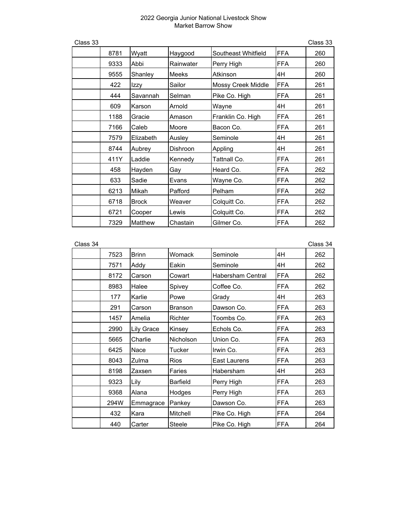| Class 33 |      |              |              |                     |            | Class 33 |
|----------|------|--------------|--------------|---------------------|------------|----------|
|          | 8781 | Wyatt        | Haygood      | Southeast Whitfield | <b>FFA</b> | 260      |
|          | 9333 | Abbi         | Rainwater    | Perry High          | <b>FFA</b> | 260      |
|          | 9555 | Shanley      | <b>Meeks</b> | Atkinson            | 4H         | 260      |
|          | 422  | Izzy         | Sailor       | Mossy Creek Middle  | <b>FFA</b> | 261      |
|          | 444  | Savannah     | Selman       | Pike Co. High       | <b>FFA</b> | 261      |
|          | 609  | Karson       | Arnold       | Wayne               | 4H         | 261      |
|          | 1188 | Gracie       | Amason       | Franklin Co. High   | <b>FFA</b> | 261      |
|          | 7166 | Caleb        | Moore        | Bacon Co.           | <b>FFA</b> | 261      |
|          | 7579 | Elizabeth    | Ausley       | Seminole            | 4H         | 261      |
|          | 8744 | Aubrey       | Dishroon     | Appling             | 4H         | 261      |
|          | 411Y | Laddie       | Kennedy      | Tattnall Co.        | <b>FFA</b> | 261      |
|          | 458  | Hayden       | Gay          | Heard Co.           | <b>FFA</b> | 262      |
|          | 633  | Sadie        | Evans        | Wayne Co.           | <b>FFA</b> | 262      |
|          | 6213 | Mikah        | Pafford      | Pelham              | <b>FFA</b> | 262      |
|          | 6718 | <b>Brock</b> | Weaver       | Colquitt Co.        | <b>FFA</b> | 262      |
|          | 6721 | Cooper       | Lewis        | Colquitt Co.        | <b>FFA</b> | 262      |
|          | 7329 | Matthew      | Chastain     | Gilmer Co.          | FFA        | 262      |

| Class 34 |  |
|----------|--|
|          |  |

| Class 34 |      |              |                 |                   |            | Class 34 |
|----------|------|--------------|-----------------|-------------------|------------|----------|
|          | 7523 | <b>Brinn</b> | Womack          | Seminole          | 4H         | 262      |
|          | 7571 | Addy         | Eakin           | Seminole          | 4H         | 262      |
|          | 8172 | Carson       | Cowart          | Habersham Central | <b>FFA</b> | 262      |
|          | 8983 | Halee        | Spivey          | Coffee Co.        | <b>FFA</b> | 262      |
|          | 177  | Karlie       | Powe            | Grady             | 4H         | 263      |
|          | 291  | Carson       | <b>Branson</b>  | Dawson Co.        | <b>FFA</b> | 263      |
|          | 1457 | Amelia       | Richter         | Toombs Co.        | <b>FFA</b> | 263      |
|          | 2990 | Lily Grace   | Kinsey          | Echols Co.        | <b>FFA</b> | 263      |
|          | 5665 | Charlie      | Nicholson       | Union Co.         | <b>FFA</b> | 263      |
|          | 6425 | Nace         | Tucker          | Irwin Co.         | <b>FFA</b> | 263      |
|          | 8043 | Zulma        | <b>Rios</b>     | East Laurens      | <b>FFA</b> | 263      |
|          | 8198 | Zaxsen       | Faries          | Habersham         | 4H         | 263      |
|          | 9323 | Lily         | <b>Barfield</b> | Perry High        | <b>FFA</b> | 263      |
|          | 9368 | Alana        | Hodges          | Perry High        | <b>FFA</b> | 263      |
|          | 294W | Emmagrace    | Pankey          | Dawson Co.        | <b>FFA</b> | 263      |
|          | 432  | Kara         | Mitchell        | Pike Co. High     | <b>FFA</b> | 264      |
|          | 440  | Carter       | Steele          | Pike Co. High     | <b>FFA</b> | 264      |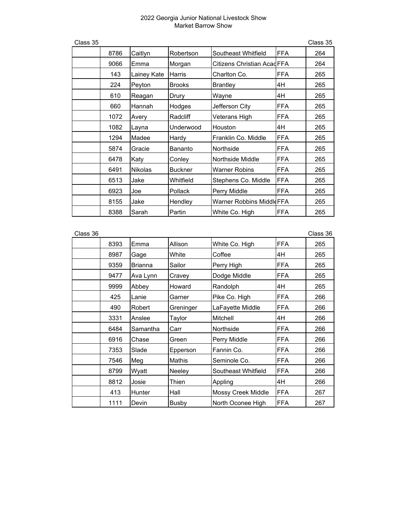| Class 35 |      |                |                |                                 |            | Class 35 |
|----------|------|----------------|----------------|---------------------------------|------------|----------|
|          | 8786 | Caitlyn        | Robertson      | Southeast Whitfield             | <b>FFA</b> | 264      |
|          | 9066 | Emma           | Morgan         | Citizens Christian Acad FFA     |            | 264      |
|          | 143  | Lainey Kate    | <b>Harris</b>  | Charlton Co.                    | <b>FFA</b> | 265      |
|          | 224  | Peyton         | <b>Brooks</b>  | <b>Brantley</b>                 | 4H         | 265      |
|          | 610  | Reagan         | Drury          | Wayne                           | 4H         | 265      |
|          | 660  | Hannah         | Hodges         | Jefferson City                  | <b>FFA</b> | 265      |
|          | 1072 | Avery          | Radcliff       | Veterans High                   | <b>FFA</b> | 265      |
|          | 1082 | Layna          | Underwood      | Houston                         | 4H         | 265      |
|          | 1294 | Madee          | Hardy          | Franklin Co. Middle             | <b>FFA</b> | 265      |
|          | 5874 | Gracie         | Bananto        | Northside                       | <b>FFA</b> | 265      |
|          | 6478 | Katy           | Conley         | Northside Middle                | <b>FFA</b> | 265      |
|          | 6491 | <b>Nikolas</b> | Buckner        | <b>Warner Robins</b>            | <b>FFA</b> | 265      |
|          | 6513 | Jake           | Whitfield      | Stephens Co. Middle             | <b>FFA</b> | 265      |
|          | 6923 | Joe            | <b>Pollack</b> | Perry Middle                    | <b>FFA</b> | 265      |
|          | 8155 | Jake           | Hendley        | <b>Warner Robbins MiddleFFA</b> |            | 265      |
|          | 8388 | Sarah          | Partin         | White Co. High                  | <b>FFA</b> | 265      |

| Class 36 |      |                |           |                     |            | Class 36 |
|----------|------|----------------|-----------|---------------------|------------|----------|
|          | 8393 | Emma           | Allison   | White Co. High      | <b>FFA</b> | 265      |
|          | 8987 | Gage           | White     | Coffee              | 4H         | 265      |
|          | 9359 | <b>Brianna</b> | Sailor    | Perry High          | <b>FFA</b> | 265      |
|          | 9477 | Ava Lynn       | Cravey    | Dodge Middle        | <b>FFA</b> | 265      |
|          | 9999 | Abbey          | Howard    | Randolph            | 4H         | 265      |
|          | 425  | Lanie          | Garner    | Pike Co. High       | <b>FFA</b> | 266      |
|          | 490  | Robert         | Greninger | LaFayette Middle    | <b>FFA</b> | 266      |
|          | 3331 | Anslee         | Taylor    | Mitchell            | 4H         | 266      |
|          | 6484 | Samantha       | Carr      | Northside           | <b>FFA</b> | 266      |
|          | 6916 | Chase          | Green     | Perry Middle        | <b>FFA</b> | 266      |
|          | 7353 | Slade          | Epperson  | Fannin Co.          | <b>FFA</b> | 266      |
|          | 7546 | Meg            | Mathis    | Seminole Co.        | <b>FFA</b> | 266      |
|          | 8799 | Wyatt          | Neeley    | Southeast Whitfield | <b>FFA</b> | 266      |
|          | 8812 | Josie          | Thien     | Appling             | 4H         | 266      |
|          | 413  | Hunter         | Hall      | Mossy Creek Middle  | <b>FFA</b> | 267      |
|          | 1111 | Devin          | Busby     | North Oconee High   | <b>FFA</b> | 267      |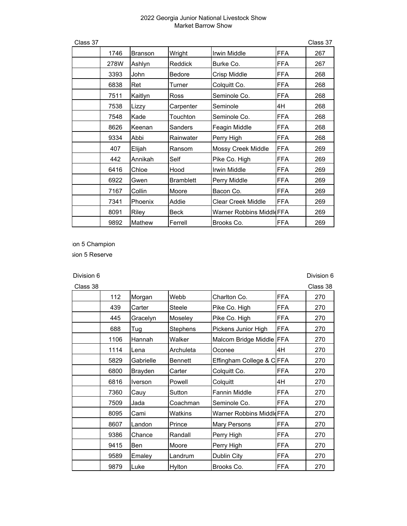| Class 37 |      |                |                  |                                 |            | Class 37 |
|----------|------|----------------|------------------|---------------------------------|------------|----------|
|          | 1746 | <b>Branson</b> | Wright           | <b>Irwin Middle</b>             | <b>FFA</b> | 267      |
|          | 278W | Ashlyn         | Reddick          | Burke Co.                       | FFA        | 267      |
|          | 3393 | John           | <b>Bedore</b>    | Crisp Middle                    | FFA        | 268      |
|          | 6838 | Ret            | Turner           | Colquitt Co.                    | <b>FFA</b> | 268      |
|          | 7511 | Kaitlyn        | Ross             | Seminole Co.                    | <b>FFA</b> | 268      |
|          | 7538 | Lizzy          | Carpenter        | Seminole                        | 4H         | 268      |
|          | 7548 | Kade           | Touchton         | Seminole Co.                    | <b>FFA</b> | 268      |
|          | 8626 | Keenan         | <b>Sanders</b>   | Feagin Middle                   | FFA        | 268      |
|          | 9334 | Abbi           | Rainwater        | Perry High                      | FFA        | 268      |
|          | 407  | Elijah         | Ransom           | <b>Mossy Creek Middle</b>       | FFA        | 269      |
|          | 442  | Annikah        | Self             | Pike Co. High                   | <b>FFA</b> | 269      |
|          | 6416 | Chloe          | Hood             | <b>Irwin Middle</b>             | <b>FFA</b> | 269      |
|          | 6922 | Gwen           | <b>Bramblett</b> | Perry Middle                    | <b>FFA</b> | 269      |
|          | 7167 | Collin         | Moore            | Bacon Co.                       | <b>FFA</b> | 269      |
|          | 7341 | Phoenix        | Addie            | <b>Clear Creek Middle</b>       | <b>FFA</b> | 269      |
|          | 8091 | Riley          | Beck             | <b>Warner Robbins MiddleFFA</b> |            | 269      |
|          | 9892 | Mathew         | Ferrell          | Brooks Co.                      | FFA        | 269      |

ion 5 Champion

sion 5 Reserve

Division 6 Division 6

| Class 38 |      |                |                |                          |            | Class 38 |
|----------|------|----------------|----------------|--------------------------|------------|----------|
|          | 112  | Morgan         | Webb           | Charlton Co.             | <b>FFA</b> | 270      |
|          | 439  | Carter         | <b>Steele</b>  | Pike Co. High            | <b>FFA</b> | 270      |
|          | 445  | Gracelyn       | Moseley        | Pike Co. High            | <b>FFA</b> | 270      |
|          | 688  | Tug            | Stephens       | Pickens Junior High      | <b>FFA</b> | 270      |
|          | 1106 | Hannah         | Walker         | Malcom Bridge Middle FFA |            | 270      |
|          | 1114 | Lena           | Archuleta      | Oconee                   | 4H         | 270      |
|          | 5829 | Gabrielle      | <b>Bennett</b> | Effingham College & CFFA |            | 270      |
|          | 6800 | Brayden        | Carter         | Colquitt Co.             | <b>FFA</b> | 270      |
|          | 6816 | <b>Iverson</b> | Powell         | Colquitt                 | 4H         | 270      |
|          | 7360 | Cauy           | Sutton         | <b>Fannin Middle</b>     | <b>FFA</b> | 270      |
|          | 7509 | Jada           | Coachman       | Seminole Co.             | <b>FFA</b> | 270      |
|          | 8095 | Cami           | Watkins        | Warner Robbins MiddleFFA |            | 270      |
|          | 8607 | Landon         | Prince         | <b>Mary Persons</b>      | <b>FFA</b> | 270      |
|          | 9386 | Chance         | Randall        | Perry High               | <b>FFA</b> | 270      |
|          | 9415 | Ben            | Moore          | Perry High               | <b>FFA</b> | 270      |
|          | 9589 | Emaley         | Landrum        | Dublin City              | <b>FFA</b> | 270      |
|          | 9879 | Luke           | Hylton         | Brooks Co.               | <b>FFA</b> | 270      |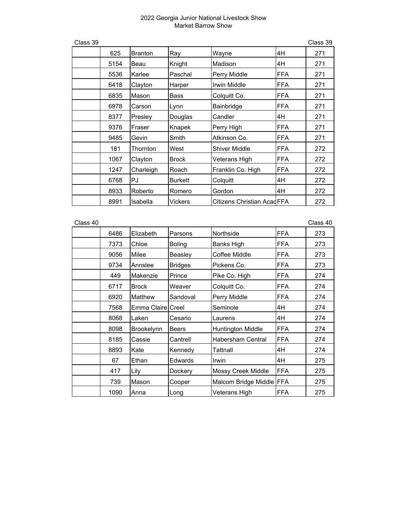| Class 39 |      |                |                |                                   |            | Class 39 |
|----------|------|----------------|----------------|-----------------------------------|------------|----------|
|          | 625  | <b>Branton</b> | Ray            | Wayne                             | 4H         | 271      |
|          | 5154 | Beau           | Knight         | Madison                           | 4H         | 271      |
|          | 5536 | Karlee         | Paschal        | Perry Middle                      | <b>FFA</b> | 271      |
|          | 6418 | Clayton        | Harper         | Irwin Middle                      | <b>FFA</b> | 271      |
|          | 6835 | Mason          | <b>Bass</b>    | Colquitt Co.                      | <b>FFA</b> | 271      |
|          | 6978 | Carson         | Lynn           | Bainbridge                        | <b>FFA</b> | 271      |
|          | 8377 | Presley        | Douglas        | Candler                           | 4H         | 271      |
|          | 9376 | Fraser         | Knapek         | Perry High                        | <b>FFA</b> | 271      |
|          | 9485 | Gevin          | Smith          | Atkinson Co.                      | <b>FFA</b> | 271      |
|          | 181  | Thornton       | West           | <b>Shiver Middle</b>              | <b>FFA</b> | 272      |
|          | 1067 | Clayton        | <b>Brock</b>   | Veterans High                     | <b>FFA</b> | 272      |
|          | 1247 | Charleigh      | Roach          | Franklin Co. High                 | <b>FFA</b> | 272      |
|          | 6768 | PJ             | <b>Burkett</b> | Colquitt                          | 4H         | 272      |
|          | 8933 | Roberto        | Romero         | Gordon                            | 4H         | 272      |
|          | 8991 | Isabella       | Vickers        | <b>Citizens Christian AcadFFA</b> |            | 272      |

| Class 40 |      |                   |                |                          |             | Class 40 |
|----------|------|-------------------|----------------|--------------------------|-------------|----------|
|          | 6486 | Elizabeth         | Parsons        | Northside                | <b>IFFA</b> | 273      |
|          | 7373 | Chloe             | <b>Boling</b>  | <b>Banks High</b>        | <b>IFFA</b> | 273      |
|          | 9056 | Milee             | Beasley        | Coffee Middle            | <b>IFFA</b> | 273      |
|          | 9734 | Annslee           | <b>Bridges</b> | Pickens Co.              | <b>IFFA</b> | 273      |
|          | 449  | Makenzie          | Prince         | Pike Co. High            | FFA         | 274      |
|          | 6717 | <b>Brock</b>      | Weaver         | Colquitt Co.             | <b>IFFA</b> | 274      |
|          | 6920 | Matthew           | Sandoval       | Perry Middle             | FFA         | 274      |
|          | 7568 | Emma Claire Creel |                | Seminole                 | 4H          | 274      |
|          | 8068 | Laken             | Cesario        | Laurens                  | 4H          | 274      |
|          | 8098 | <b>Brookelynn</b> | <b>Beers</b>   | Huntington Middle        | <b>FFA</b>  | 274      |
|          | 8185 | Cassie            | Cantrell       | <b>Habersham Central</b> | <b>IFFA</b> | 274      |
|          | 8893 | Kate              | Kennedy        | Tattnall                 | 4H          | 274      |
|          | 67   | Ethan             | <b>Edwards</b> | Irwin                    | 4H          | 275      |
|          | 417  | Lily              | Dockery        | Mossy Creek Middle       | FFA         | 275      |
|          | 739  | Mason             | Cooper         | Malcom Bridge Middle FFA |             | 275      |
|          | 1090 | Anna              | Long           | Veterans High            | <b>IFFA</b> | 275      |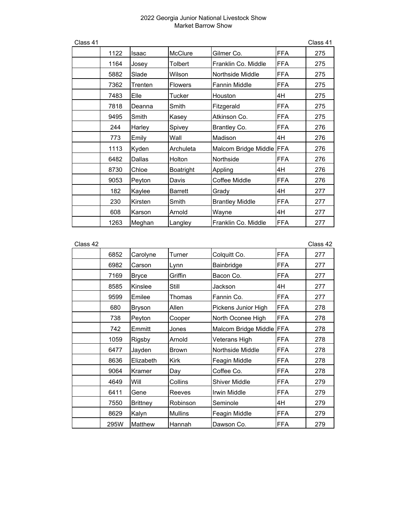| Class 41 |      |         |                |                          |            | Class 41 |
|----------|------|---------|----------------|--------------------------|------------|----------|
|          | 1122 | Isaac   | <b>McClure</b> | Gilmer Co.               | <b>FFA</b> | 275      |
|          | 1164 | Josey   | Tolbert        | Franklin Co. Middle      | <b>FFA</b> | 275      |
|          | 5882 | Slade   | Wilson         | Northside Middle         | <b>FFA</b> | 275      |
|          | 7362 | Trenten | <b>Flowers</b> | <b>Fannin Middle</b>     | <b>FFA</b> | 275      |
|          | 7483 | Elle    | Tucker         | Houston                  | 4H         | 275      |
|          | 7818 | Deanna  | Smith          | Fitzgerald               | <b>FFA</b> | 275      |
|          | 9495 | Smith   | Kasey          | Atkinson Co.             | <b>FFA</b> | 275      |
|          | 244  | Harley  | Spivey         | Brantley Co.             | <b>FFA</b> | 276      |
|          | 773  | Emily   | Wall           | Madison                  | 4H         | 276      |
|          | 1113 | Kyden   | Archuleta      | Malcom Bridge Middle FFA |            | 276      |
|          | 6482 | Dallas  | Holton         | Northside                | FFA        | 276      |
|          | 8730 | Chloe   | Boatright      | Appling                  | 4H         | 276      |
|          | 9053 | Peyton  | Davis          | Coffee Middle            | FFA        | 276      |
|          | 182  | Kaylee  | <b>Barrett</b> | Grady                    | 4H         | 277      |
|          | 230  | Kirsten | Smith          | <b>Brantley Middle</b>   | <b>FFA</b> | 277      |
|          | 608  | Karson  | Arnold         | Wayne                    | 4H         | 277      |
|          | 1263 | Meghan  | Langley        | Franklin Co. Middle      | <b>FFA</b> | 277      |

| Class 42 |      |                 |                |                          |            | Class 42 |
|----------|------|-----------------|----------------|--------------------------|------------|----------|
|          | 6852 | Carolyne        | Turner         | Colquitt Co.             | FFA        | 277      |
|          | 6982 | Carson          | Lynn           | Bainbridge               | <b>FFA</b> | 277      |
|          | 7169 | <b>Bryce</b>    | Griffin        | Bacon Co.                | <b>FFA</b> | 277      |
|          | 8585 | Kinslee         | Still          | Jackson                  | 4H         | 277      |
|          | 9599 | Emilee          | Thomas         | Fannin Co.               | <b>FFA</b> | 277      |
|          | 680  | Bryson          | Allen          | Pickens Junior High      | <b>FFA</b> | 278      |
|          | 738  | Peyton          | Cooper         | North Oconee High        | <b>FFA</b> | 278      |
|          | 742  | Emmitt          | Jones          | Malcom Bridge Middle FFA |            | 278      |
|          | 1059 | Rigsby          | Arnold         | Veterans High            | <b>FFA</b> | 278      |
|          | 6477 | Jayden          | <b>Brown</b>   | Northside Middle         | <b>FFA</b> | 278      |
|          | 8636 | Elizabeth       | <b>Kirk</b>    | Feagin Middle            | <b>FFA</b> | 278      |
|          | 9064 | Kramer          | Day            | Coffee Co.               | <b>FFA</b> | 278      |
|          | 4649 | Will            | Collins        | <b>Shiver Middle</b>     | <b>FFA</b> | 279      |
|          | 6411 | Gene            | Reeves         | Irwin Middle             | <b>FFA</b> | 279      |
|          | 7550 | <b>Brittney</b> | Robinson       | Seminole                 | 4H         | 279      |
|          | 8629 | Kalyn           | <b>Mullins</b> | Feagin Middle            | <b>FFA</b> | 279      |
|          | 295W | <b>Matthew</b>  | Hannah         | Dawson Co.               | <b>FFA</b> | 279      |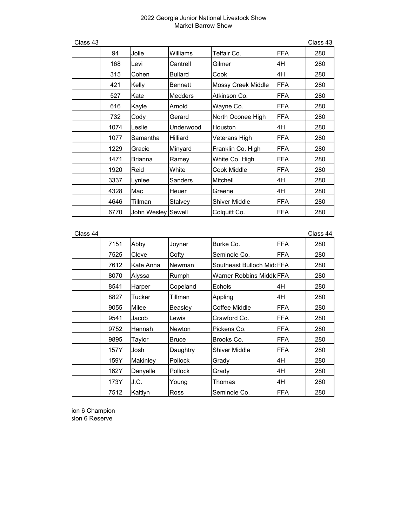| Class 43 |      |                    |                |                           |            | Class 43 |
|----------|------|--------------------|----------------|---------------------------|------------|----------|
|          | 94   | Jolie              | Williams       | Telfair Co.               | <b>FFA</b> | 280      |
|          | 168  | Levi               | Cantrell       | Gilmer                    | 4H         | 280      |
|          | 315  | Cohen              | <b>Bullard</b> | Cook                      | 4H         | 280      |
|          | 421  | Kelly              | <b>Bennett</b> | <b>Mossy Creek Middle</b> | <b>FFA</b> | 280      |
|          | 527  | Kate               | <b>Medders</b> | Atkinson Co.              | <b>FFA</b> | 280      |
|          | 616  | Kayle              | Arnold         | Wayne Co.                 | <b>FFA</b> | 280      |
|          | 732  | Cody               | Gerard         | North Oconee High         | <b>FFA</b> | 280      |
|          | 1074 | Leslie             | Underwood      | Houston                   | 4H         | 280      |
|          | 1077 | Samantha           | Hilliard       | Veterans High             | <b>FFA</b> | 280      |
|          | 1229 | Gracie             | Minyard        | Franklin Co. High         | <b>FFA</b> | 280      |
|          | 1471 | <b>Brianna</b>     | Ramey          | White Co. High            | <b>FFA</b> | 280      |
|          | 1920 | Reid               | White          | Cook Middle               | <b>FFA</b> | 280      |
|          | 3337 | Lynlee             | Sanders        | Mitchell                  | 4H         | 280      |
|          | 4328 | Mac                | Heuer          | Greene                    | 4H         | 280      |
|          | 4646 | Tillman            | Stalvey        | <b>Shiver Middle</b>      | <b>FFA</b> | 280      |
|          | 6770 | John Wesley Sewell |                | Colquitt Co.              | <b>FFA</b> | 280      |

| Class 44 |      |           |                |                                  |            | Class 44 |
|----------|------|-----------|----------------|----------------------------------|------------|----------|
|          | 7151 | Abby      | Joyner         | Burke Co.                        | <b>FFA</b> | 280      |
|          | 7525 | Cleve     | Cofty          | Seminole Co.                     | <b>FFA</b> | 280      |
|          | 7612 | Kate Anna | Newman         | Southeast Bulloch MiddFFA        |            | 280      |
|          | 8070 | Alyssa    | Rumph          | <b>Warner Robbins Middle FFA</b> |            | 280      |
|          | 8541 | Harper    | Copeland       | Echols                           | 4H         | 280      |
|          | 8827 | Tucker    | Tillman        | Appling                          | 4H         | 280      |
|          | 9055 | Milee     | Beasley        | Coffee Middle                    | <b>FFA</b> | 280      |
|          | 9541 | Jacob     | Lewis          | Crawford Co.                     | <b>FFA</b> | 280      |
|          | 9752 | Hannah    | <b>Newton</b>  | Pickens Co.                      | <b>FFA</b> | 280      |
|          | 9895 | Taylor    | <b>Bruce</b>   | Brooks Co.                       | <b>FFA</b> | 280      |
|          | 157Y | Josh      | Daughtry       | <b>Shiver Middle</b>             | <b>FFA</b> | 280      |
|          | 159Y | Makinley  | <b>Pollock</b> | Grady                            | 4H         | 280      |
|          | 162Y | Danyelle  | <b>Pollock</b> | Grady                            | 4H         | 280      |
|          | 173Y | J.C.      | Young          | Thomas                           | 4H         | 280      |
|          | 7512 | Kaitlyn   | Ross           | Seminole Co.                     | FFA        | 280      |

ion 6 Champion sion 6 Reserve